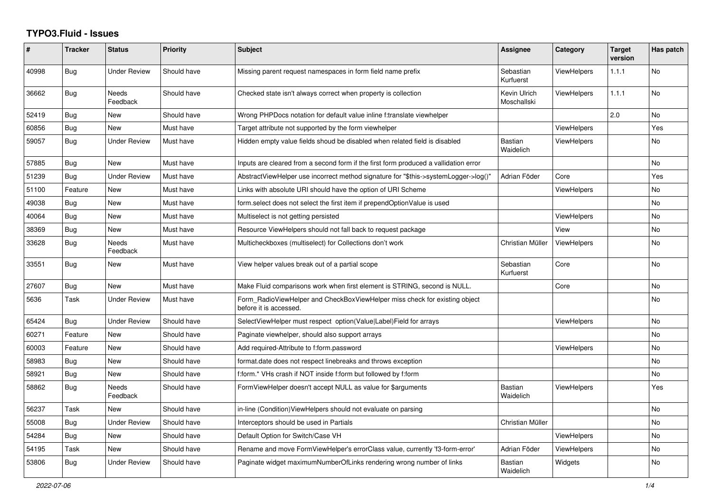## **TYPO3.Fluid - Issues**

| #     | <b>Tracker</b> | <b>Status</b>       | <b>Priority</b> | Subject                                                                                              | <b>Assignee</b>             | Category           | <b>Target</b><br>version | Has patch |
|-------|----------------|---------------------|-----------------|------------------------------------------------------------------------------------------------------|-----------------------------|--------------------|--------------------------|-----------|
| 40998 | <b>Bug</b>     | Under Review        | Should have     | Missing parent request namespaces in form field name prefix                                          | Sebastian<br>Kurfuerst      | <b>ViewHelpers</b> | 1.1.1                    | No        |
| 36662 | Bug            | Needs<br>Feedback   | Should have     | Checked state isn't always correct when property is collection                                       | Kevin Ulrich<br>Moschallski | <b>ViewHelpers</b> | 1.1.1                    | <b>No</b> |
| 52419 | Bug            | New                 | Should have     | Wrong PHPDocs notation for default value inline f:translate viewhelper                               |                             |                    | 2.0                      | No        |
| 60856 | Bug            | New                 | Must have       | Target attribute not supported by the form viewhelper                                                |                             | <b>ViewHelpers</b> |                          | Yes       |
| 59057 | <b>Bug</b>     | <b>Under Review</b> | Must have       | Hidden empty value fields shoud be disabled when related field is disabled                           | <b>Bastian</b><br>Waidelich | <b>ViewHelpers</b> |                          | No.       |
| 57885 | Bug            | <b>New</b>          | Must have       | Inputs are cleared from a second form if the first form produced a vallidation error                 |                             |                    |                          | No        |
| 51239 | Bug            | <b>Under Review</b> | Must have       | AbstractViewHelper use incorrect method signature for "\$this->systemLogger->log()"                  | Adrian Föder                | Core               |                          | Yes       |
| 51100 | Feature        | New                 | Must have       | Links with absolute URI should have the option of URI Scheme                                         |                             | ViewHelpers        |                          | No        |
| 49038 | Bug            | New                 | Must have       | form select does not select the first item if prependOptionValue is used                             |                             |                    |                          | No        |
| 40064 | Bug            | <b>New</b>          | Must have       | Multiselect is not getting persisted                                                                 |                             | <b>ViewHelpers</b> |                          | No        |
| 38369 | Bug            | New                 | Must have       | Resource ViewHelpers should not fall back to request package                                         |                             | View               |                          | No        |
| 33628 | Bug            | Needs<br>Feedback   | Must have       | Multicheckboxes (multiselect) for Collections don't work                                             | Christian Müller            | ViewHelpers        |                          | No        |
| 33551 | Bug            | New                 | Must have       | View helper values break out of a partial scope                                                      | Sebastian<br>Kurfuerst      | Core               |                          | No.       |
| 27607 | Bug            | New                 | Must have       | Make Fluid comparisons work when first element is STRING, second is NULL.                            |                             | Core               |                          | No        |
| 5636  | Task           | Under Review        | Must have       | Form RadioViewHelper and CheckBoxViewHelper miss check for existing object<br>before it is accessed. |                             |                    |                          | No        |
| 65424 | Bug            | Under Review        | Should have     | SelectViewHelper must respect option(Value Label)Field for arrays                                    |                             | <b>ViewHelpers</b> |                          | No        |
| 60271 | Feature        | New                 | Should have     | Paginate viewhelper, should also support arrays                                                      |                             |                    |                          | No        |
| 60003 | Feature        | New                 | Should have     | Add required-Attribute to f:form.password                                                            |                             | ViewHelpers        |                          | No        |
| 58983 | Bug            | New                 | Should have     | format.date does not respect linebreaks and throws exception                                         |                             |                    |                          | No        |
| 58921 | Bug            | New                 | Should have     | f:form.* VHs crash if NOT inside f:form but followed by f:form                                       |                             |                    |                          | No        |
| 58862 | Bug            | Needs<br>Feedback   | Should have     | FormViewHelper doesn't accept NULL as value for \$arguments                                          | <b>Bastian</b><br>Waidelich | ViewHelpers        |                          | Yes       |
| 56237 | Task           | New                 | Should have     | in-line (Condition) View Helpers should not evaluate on parsing                                      |                             |                    |                          | No        |
| 55008 | <b>Bug</b>     | <b>Under Review</b> | Should have     | Interceptors should be used in Partials                                                              | Christian Müller            |                    |                          | No        |
| 54284 | <b>Bug</b>     | New                 | Should have     | Default Option for Switch/Case VH                                                                    |                             | ViewHelpers        |                          | No        |
| 54195 | Task           | New                 | Should have     | Rename and move FormViewHelper's errorClass value, currently 'f3-form-error'                         | Adrian Föder                | <b>ViewHelpers</b> |                          | No        |
| 53806 | <b>Bug</b>     | <b>Under Review</b> | Should have     | Paginate widget maximumNumberOfLinks rendering wrong number of links                                 | <b>Bastian</b><br>Waidelich | Widgets            |                          | No        |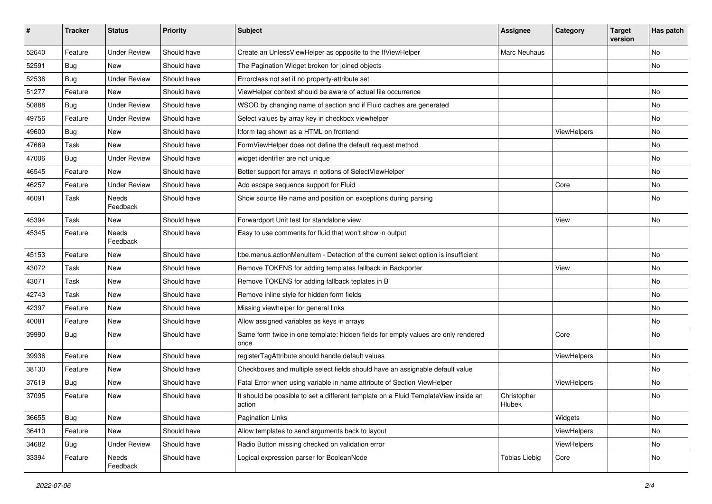| $\sharp$ | <b>Tracker</b> | <b>Status</b>       | <b>Priority</b> | Subject                                                                                       | <b>Assignee</b>       | Category    | <b>Target</b><br>version | Has patch |
|----------|----------------|---------------------|-----------------|-----------------------------------------------------------------------------------------------|-----------------------|-------------|--------------------------|-----------|
| 52640    | Feature        | <b>Under Review</b> | Should have     | Create an UnlessViewHelper as opposite to the IfViewHelper                                    | Marc Neuhaus          |             |                          | <b>No</b> |
| 52591    | Bug            | New                 | Should have     | The Pagination Widget broken for joined objects                                               |                       |             |                          | No        |
| 52536    | Bug            | <b>Under Review</b> | Should have     | Errorclass not set if no property-attribute set                                               |                       |             |                          |           |
| 51277    | Feature        | <b>New</b>          | Should have     | ViewHelper context should be aware of actual file occurrence                                  |                       |             |                          | <b>No</b> |
| 50888    | Bug            | <b>Under Review</b> | Should have     | WSOD by changing name of section and if Fluid caches are generated                            |                       |             |                          | No        |
| 49756    | Feature        | <b>Under Review</b> | Should have     | Select values by array key in checkbox viewhelper                                             |                       |             |                          | <b>No</b> |
| 49600    | Bug            | New                 | Should have     | f:form tag shown as a HTML on frontend                                                        |                       | ViewHelpers |                          | No        |
| 47669    | Task           | New                 | Should have     | FormViewHelper does not define the default request method                                     |                       |             |                          | No        |
| 47006    | Bug            | <b>Under Review</b> | Should have     | widget identifier are not unique                                                              |                       |             |                          | No        |
| 46545    | Feature        | New                 | Should have     | Better support for arrays in options of SelectViewHelper                                      |                       |             |                          | No        |
| 46257    | Feature        | <b>Under Review</b> | Should have     | Add escape sequence support for Fluid                                                         |                       | Core        |                          | No        |
| 46091    | Task           | Needs<br>Feedback   | Should have     | Show source file name and position on exceptions during parsing                               |                       |             |                          | No        |
| 45394    | Task           | New                 | Should have     | Forwardport Unit test for standalone view                                                     |                       | View        |                          | <b>No</b> |
| 45345    | Feature        | Needs<br>Feedback   | Should have     | Easy to use comments for fluid that won't show in output                                      |                       |             |                          |           |
| 45153    | Feature        | New                 | Should have     | f:be.menus.actionMenuItem - Detection of the current select option is insufficient            |                       |             |                          | No        |
| 43072    | Task           | New                 | Should have     | Remove TOKENS for adding templates fallback in Backporter                                     |                       | View        |                          | No        |
| 43071    | Task           | New                 | Should have     | Remove TOKENS for adding fallback teplates in B                                               |                       |             |                          | No        |
| 42743    | Task           | New                 | Should have     | Remove inline style for hidden form fields                                                    |                       |             |                          | No        |
| 42397    | Feature        | New                 | Should have     | Missing viewhelper for general links                                                          |                       |             |                          | No        |
| 40081    | Feature        | New                 | Should have     | Allow assigned variables as keys in arrays                                                    |                       |             |                          | No        |
| 39990    | Bug            | New                 | Should have     | Same form twice in one template: hidden fields for empty values are only rendered<br>once     |                       | Core        |                          | No        |
| 39936    | Feature        | New                 | Should have     | registerTagAttribute should handle default values                                             |                       | ViewHelpers |                          | <b>No</b> |
| 38130    | Feature        | New                 | Should have     | Checkboxes and multiple select fields should have an assignable default value                 |                       |             |                          | No        |
| 37619    | Bug            | New                 | Should have     | Fatal Error when using variable in name attribute of Section ViewHelper                       |                       | ViewHelpers |                          | <b>No</b> |
| 37095    | Feature        | New                 | Should have     | It should be possible to set a different template on a Fluid TemplateView inside an<br>action | Christopher<br>Hlubek |             |                          | No        |
| 36655    | <b>Bug</b>     | New                 | Should have     | Pagination Links                                                                              |                       | Widgets     |                          | No        |
| 36410    | Feature        | New                 | Should have     | Allow templates to send arguments back to layout                                              |                       | ViewHelpers |                          | No        |
| 34682    | Bug            | <b>Under Review</b> | Should have     | Radio Button missing checked on validation error                                              |                       | ViewHelpers |                          | No        |
| 33394    | Feature        | Needs<br>Feedback   | Should have     | Logical expression parser for BooleanNode                                                     | <b>Tobias Liebig</b>  | Core        |                          | No        |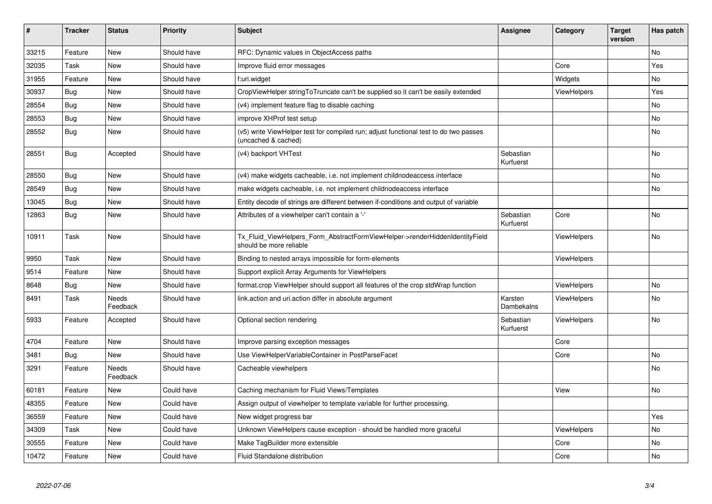| #     | <b>Tracker</b> | <b>Status</b>            | <b>Priority</b> | <b>Subject</b>                                                                                              | Assignee               | Category           | <b>Target</b><br>version | Has patch |
|-------|----------------|--------------------------|-----------------|-------------------------------------------------------------------------------------------------------------|------------------------|--------------------|--------------------------|-----------|
| 33215 | Feature        | <b>New</b>               | Should have     | RFC: Dynamic values in ObjectAccess paths                                                                   |                        |                    |                          | No        |
| 32035 | Task           | New                      | Should have     | Improve fluid error messages                                                                                |                        | Core               |                          | Yes       |
| 31955 | Feature        | New                      | Should have     | f:uri.widget                                                                                                |                        | Widgets            |                          | No.       |
| 30937 | Bug            | New                      | Should have     | CropViewHelper stringToTruncate can't be supplied so it can't be easily extended                            |                        | ViewHelpers        |                          | Yes       |
| 28554 | Bug            | New                      | Should have     | (v4) implement feature flag to disable caching                                                              |                        |                    |                          | No        |
| 28553 | Bug            | New                      | Should have     | improve XHProf test setup                                                                                   |                        |                    |                          | No        |
| 28552 | <b>Bug</b>     | New                      | Should have     | (v5) write ViewHelper test for compiled run; adjust functional test to do two passes<br>(uncached & cached) |                        |                    |                          | No        |
| 28551 | Bug            | Accepted                 | Should have     | (v4) backport VHTest                                                                                        | Sebastian<br>Kurfuerst |                    |                          | No        |
| 28550 | Bug            | <b>New</b>               | Should have     | (v4) make widgets cacheable, i.e. not implement childnodeaccess interface                                   |                        |                    |                          | No        |
| 28549 | Bug            | New                      | Should have     | make widgets cacheable, i.e. not implement childnodeaccess interface                                        |                        |                    |                          | No        |
| 13045 | <b>Bug</b>     | New                      | Should have     | Entity decode of strings are different between if-conditions and output of variable                         |                        |                    |                          |           |
| 12863 | <b>Bug</b>     | New                      | Should have     | Attributes of a viewhelper can't contain a '-'                                                              | Sebastian<br>Kurfuerst | Core               |                          | <b>No</b> |
| 10911 | Task           | New                      | Should have     | Tx_Fluid_ViewHelpers_Form_AbstractFormViewHelper->renderHiddenIdentityField<br>should be more reliable      |                        | <b>ViewHelpers</b> |                          | No        |
| 9950  | Task           | <b>New</b>               | Should have     | Binding to nested arrays impossible for form-elements                                                       |                        | ViewHelpers        |                          |           |
| 9514  | Feature        | <b>New</b>               | Should have     | Support explicit Array Arguments for ViewHelpers                                                            |                        |                    |                          |           |
| 8648  | Bug            | <b>New</b>               | Should have     | format.crop ViewHelper should support all features of the crop stdWrap function                             |                        | <b>ViewHelpers</b> |                          | No        |
| 8491  | Task           | <b>Needs</b><br>Feedback | Should have     | link.action and uri.action differ in absolute argument                                                      | Karsten<br>Dambekalns  | <b>ViewHelpers</b> |                          | <b>No</b> |
| 5933  | Feature        | Accepted                 | Should have     | Optional section rendering                                                                                  | Sebastian<br>Kurfuerst | <b>ViewHelpers</b> |                          | No        |
| 4704  | Feature        | New                      | Should have     | Improve parsing exception messages                                                                          |                        | Core               |                          |           |
| 3481  | <b>Bug</b>     | New                      | Should have     | Use ViewHelperVariableContainer in PostParseFacet                                                           |                        | Core               |                          | No        |
| 3291  | Feature        | Needs<br>Feedback        | Should have     | Cacheable viewhelpers                                                                                       |                        |                    |                          | No        |
| 60181 | Feature        | New                      | Could have      | Caching mechanism for Fluid Views/Templates                                                                 |                        | View               |                          | No        |
| 48355 | Feature        | New                      | Could have      | Assign output of viewhelper to template variable for further processing.                                    |                        |                    |                          |           |
| 36559 | Feature        | New                      | Could have      | New widget progress bar                                                                                     |                        |                    |                          | Yes       |
| 34309 | Task           | New                      | Could have      | Unknown ViewHelpers cause exception - should be handled more graceful                                       |                        | <b>ViewHelpers</b> |                          | No        |
| 30555 | Feature        | New                      | Could have      | Make TagBuilder more extensible                                                                             |                        | Core               |                          | No        |
| 10472 | Feature        | New                      | Could have      | Fluid Standalone distribution                                                                               |                        | Core               |                          | No        |